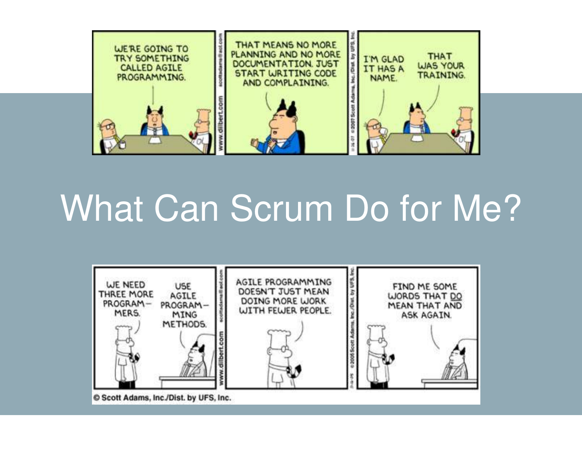

# What Can Scrum Do for Me?

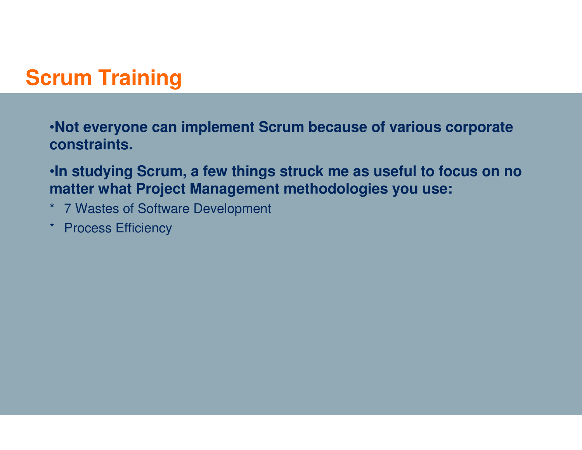# **Scrum Training**

•**Not everyone can implement Scrum because of various corporate constraints.**

•**In studying Scrum, <sup>a</sup> few things struck me as useful to focus on no matter what Project Management methodologies you use:**

- \* 7 Wastes of Software Development
- \* Process Efficiency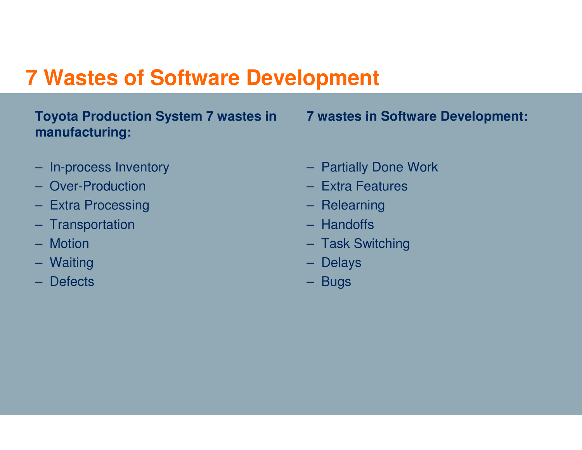# **7 Wastes of Software Development**

### **Toyota Production System 7 wastes in manufacturing:**

**7 wastes in Software Development:**

- In-process Inventory
- Over-Production
- Extra Processing
- Transportation
- Motion
- Waiting
- Defects
- Partially Done Work
- Extra Features
- Relearning
- Handoffs
- Task Switching
- Delays
- Bugs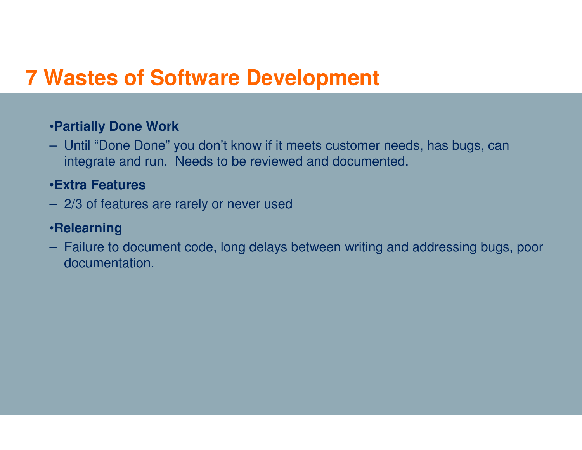# **7 Wastes of Software Development**

#### •**Partially Done Work**

– Until "Done Done" you don't know if it meets customer needs, has bugs, can integrate and run. Needs to be reviewed and documented.

#### •**Extra Features**

– 2/3 of features are rarely or never used

#### •**Relearning**

– Failure to document code, long delays between writing and addressing bugs, poor documentation.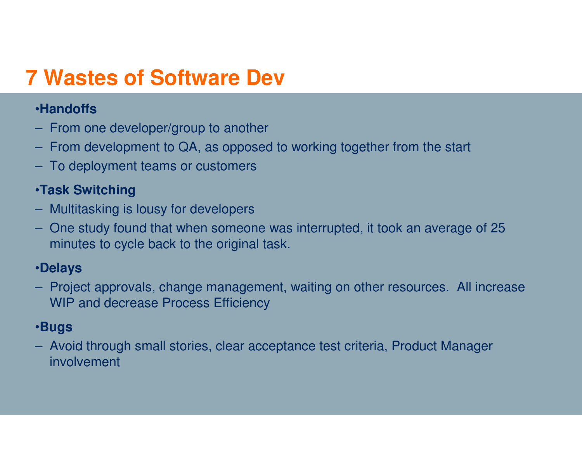# **7 Wastes of Software Dev**

### •**Handoffs**

- From one developer/group to another
- From development to QA, as opposed to working together from the start
- To deployment teams or customers

### •**Task Switching**

- Multitasking is lousy for developers
- One study found that when someone was interrupted, it took an average of 25 minutes to cycle back to the original task.

### •**Delays**

– Project approvals, change management, waiting on other resources. All increase WIP and decrease Process Efficiency

### •**Bugs**

– Avoid through small stories, clear acceptance test criteria, Product Manager involvement